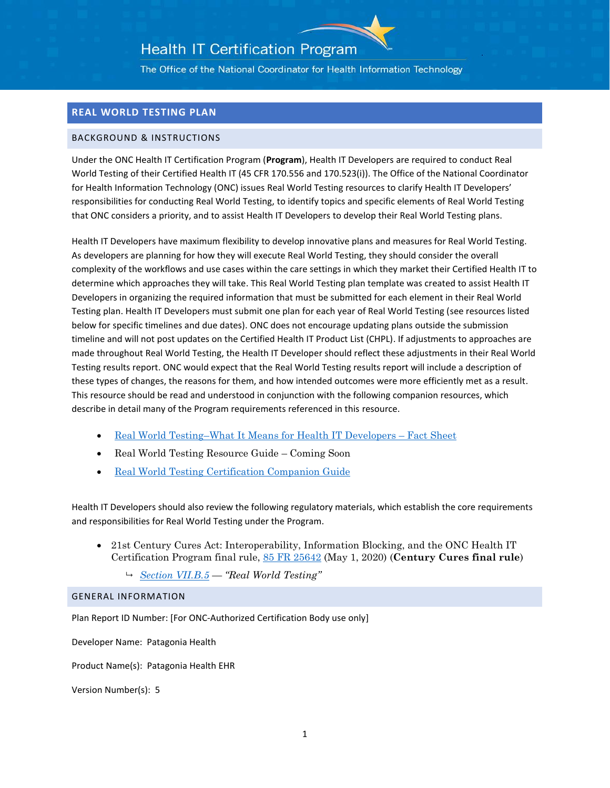The Office of the National Coordinator for Health Information Technology

### **REAL WORLD TESTING PLAN**

#### BACKGROUND & INSTRUCTIONS

Under the ONC Health IT Certification Program (**Program**), Health IT Developers are required to conduct Real World Testing of their Certified Health IT (45 CFR 170.556 and 170.523(i)). The Office of the National Coordinator for Health Information Technology (ONC) issues Real World Testing resources to clarify Health IT Developers' responsibilities for conducting Real World Testing, to identify topics and specific elements of Real World Testing that ONC considers a priority, and to assist Health IT Developers to develop their Real World Testing plans.

Health IT Developers have maximum flexibility to develop innovative plans and measures for Real World Testing. As developers are planning for how they will execute Real World Testing, they should consider the overall complexity of the workflows and use cases within the care settings in which they market their Certified Health IT to determine which approaches they will take. This Real World Testing plan template was created to assist Health IT Developers in organizing the required information that must be submitted for each element in their Real World Testing plan. Health IT Developers must submit one plan for each year of Real World Testing (see resources listed below for specific timelines and due dates). ONC does not encourage updating plans outside the submission timeline and will not post updates on the Certified Health IT Product List (CHPL). If adjustments to approaches are made throughout Real World Testing, the Health IT Developer should reflect these adjustments in their Real World Testing results report. ONC would expect that the Real World Testing results report will include a description of these types of changes, the reasons for them, and how intended outcomes were more efficiently met as a result. This resource should be read and understood in conjunction with the following companion resources, which describe in detail many of the Program requirements referenced in this resource.

- [Real World Testing–What It Means for Health IT Developers –](https://www.healthit.gov/sites/default/files/page/2021-02/Real-World-Testing-Fact-Sheet.pdf) Fact Sheet
- Real World Testing Resource Guide Coming Soon
- [Real World Testing Certification Companion Guide](https://www.healthit.gov/condition-ccg/real-world-testing)

Health IT Developers should also review the following regulatory materials, which establish the core requirements and responsibilities for Real World Testing under the Program.

• 21st Century Cures Act: Interoperability, Information Blocking, and the ONC Health IT Certification Program final rule, [85 FR 25642](https://www.govinfo.gov/content/pkg/FR-2020-05-01/pdf/2020-07419.pdf) (May 1, 2020) (**Century Cures final rule**)

*[Section VII.B.5](https://www.govinfo.gov/content/pkg/FR-2020-05-01/pdf/2020-07419.pdf) — "Real World Testing"*

#### GENERAL INFORMATION

Plan Report ID Number: [For ONC-Authorized Certification Body use only]

Developer Name: Patagonia Health

Product Name(s): Patagonia Health EHR

Version Number(s): 5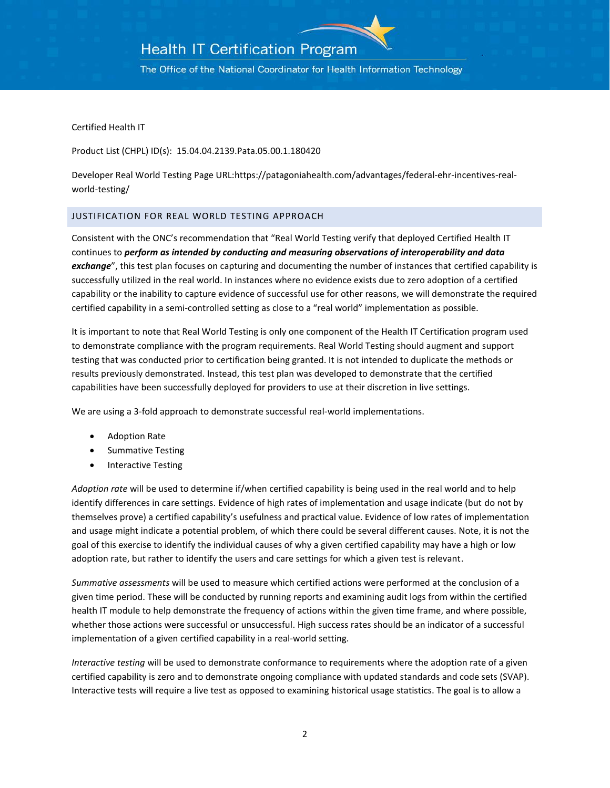The Office of the National Coordinator for Health Information Technology

Certified Health IT

Product List (CHPL) ID(s): 15.04.04.2139.Pata.05.00.1.180420

Developer Real World Testing Page URL:https://patagoniahealth.com/advantages/federal-ehr-incentives-realworld-testing/

#### JUSTIFICATION FOR REAL WORLD TESTING APPROACH

Consistent with the ONC's recommendation that "Real World Testing verify that deployed Certified Health IT continues to *perform as intended by conducting and measuring observations of interoperability and data exchange*", this test plan focuses on capturing and documenting the number of instances that certified capability is successfully utilized in the real world. In instances where no evidence exists due to zero adoption of a certified capability or the inability to capture evidence of successful use for other reasons, we will demonstrate the required certified capability in a semi-controlled setting as close to a "real world" implementation as possible.

It is important to note that Real World Testing is only one component of the Health IT Certification program used to demonstrate compliance with the program requirements. Real World Testing should augment and support testing that was conducted prior to certification being granted. It is not intended to duplicate the methods or results previously demonstrated. Instead, this test plan was developed to demonstrate that the certified capabilities have been successfully deployed for providers to use at their discretion in live settings.

We are using a 3-fold approach to demonstrate successful real-world implementations.

- Adoption Rate
- Summative Testing
- **Interactive Testing**

*Adoption rate* will be used to determine if/when certified capability is being used in the real world and to help identify differences in care settings. Evidence of high rates of implementation and usage indicate (but do not by themselves prove) a certified capability's usefulness and practical value. Evidence of low rates of implementation and usage might indicate a potential problem, of which there could be several different causes. Note, it is not the goal of this exercise to identify the individual causes of why a given certified capability may have a high or low adoption rate, but rather to identify the users and care settings for which a given test is relevant.

*Summative assessments* will be used to measure which certified actions were performed at the conclusion of a given time period. These will be conducted by running reports and examining audit logs from within the certified health IT module to help demonstrate the frequency of actions within the given time frame, and where possible, whether those actions were successful or unsuccessful. High success rates should be an indicator of a successful implementation of a given certified capability in a real-world setting.

*Interactive testing* will be used to demonstrate conformance to requirements where the adoption rate of a given certified capability is zero and to demonstrate ongoing compliance with updated standards and code sets (SVAP). Interactive tests will require a live test as opposed to examining historical usage statistics. The goal is to allow a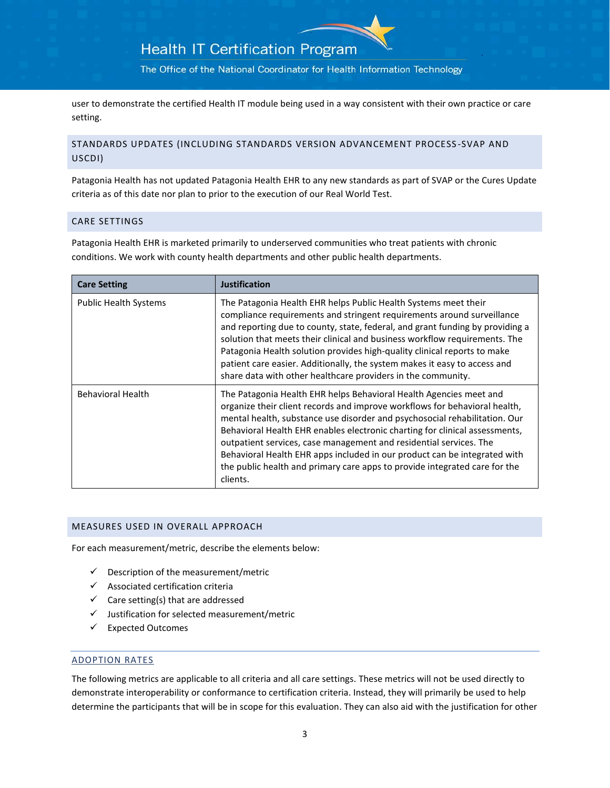The Office of the National Coordinator for Health Information Technology

user to demonstrate the certified Health IT module being used in a way consistent with their own practice or care setting.

### STANDARDS UPDATES (INCLUDING STANDARDS VERSION ADVANCEMENT PROCESS -SVAP AND USCDI)

Patagonia Health has not updated Patagonia Health EHR to any new standards as part of SVAP or the Cures Update criteria as of this date nor plan to prior to the execution of our Real World Test.

### CARE SETTINGS

Patagonia Health EHR is marketed primarily to underserved communities who treat patients with chronic conditions. We work with county health departments and other public health departments.

| <b>Care Setting</b>          | <b>Justification</b>                                                                                                                                                                                                                                                                                                                                                                                                                                                                                                                                       |
|------------------------------|------------------------------------------------------------------------------------------------------------------------------------------------------------------------------------------------------------------------------------------------------------------------------------------------------------------------------------------------------------------------------------------------------------------------------------------------------------------------------------------------------------------------------------------------------------|
| <b>Public Health Systems</b> | The Patagonia Health EHR helps Public Health Systems meet their<br>compliance requirements and stringent requirements around surveillance<br>and reporting due to county, state, federal, and grant funding by providing a<br>solution that meets their clinical and business workflow requirements. The<br>Patagonia Health solution provides high-quality clinical reports to make<br>patient care easier. Additionally, the system makes it easy to access and<br>share data with other healthcare providers in the community.                          |
| <b>Behavioral Health</b>     | The Patagonia Health EHR helps Behavioral Health Agencies meet and<br>organize their client records and improve workflows for behavioral health,<br>mental health, substance use disorder and psychosocial rehabilitation. Our<br>Behavioral Health EHR enables electronic charting for clinical assessments,<br>outpatient services, case management and residential services. The<br>Behavioral Health EHR apps included in our product can be integrated with<br>the public health and primary care apps to provide integrated care for the<br>clients. |

#### MEASURES USED IN OVERALL APPROACH

For each measurement/metric, describe the elements below:

- $\checkmark$  Description of the measurement/metric
- ✓ Associated certification criteria
- $\checkmark$  Care setting(s) that are addressed
- $\checkmark$  Justification for selected measurement/metric
- ✓ Expected Outcomes

#### ADOPTION RATES

The following metrics are applicable to all criteria and all care settings. These metrics will not be used directly to demonstrate interoperability or conformance to certification criteria. Instead, they will primarily be used to help determine the participants that will be in scope for this evaluation. They can also aid with the justification for other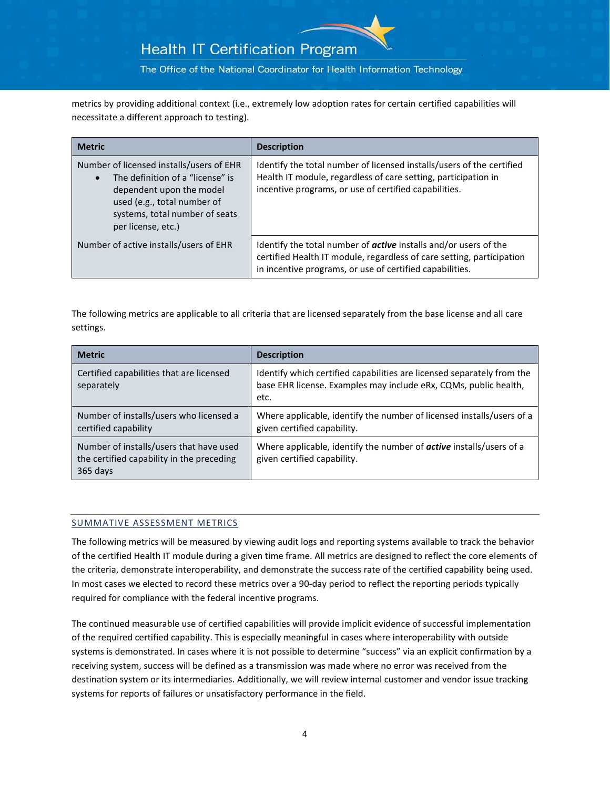The Office of the National Coordinator for Health Information Technology

metrics by providing additional context (i.e., extremely low adoption rates for certain certified capabilities will necessitate a different approach to testing).

| <b>Metric</b>                                                                                                                                                                                   | <b>Description</b>                                                                                                                                                                                           |
|-------------------------------------------------------------------------------------------------------------------------------------------------------------------------------------------------|--------------------------------------------------------------------------------------------------------------------------------------------------------------------------------------------------------------|
| Number of licensed installs/users of EHR<br>The definition of a "license" is<br>dependent upon the model<br>used (e.g., total number of<br>systems, total number of seats<br>per license, etc.) | Identify the total number of licensed installs/users of the certified<br>Health IT module, regardless of care setting, participation in<br>incentive programs, or use of certified capabilities.             |
| Number of active installs/users of EHR                                                                                                                                                          | Identify the total number of <b>active</b> installs and/or users of the<br>certified Health IT module, regardless of care setting, participation<br>in incentive programs, or use of certified capabilities. |

The following metrics are applicable to all criteria that are licensed separately from the base license and all care settings.

| <b>Metric</b>                                                                                    | <b>Description</b>                                                                                                                                 |
|--------------------------------------------------------------------------------------------------|----------------------------------------------------------------------------------------------------------------------------------------------------|
| Certified capabilities that are licensed<br>separately                                           | Identify which certified capabilities are licensed separately from the<br>base EHR license. Examples may include eRx, CQMs, public health,<br>etc. |
| Number of installs/users who licensed a<br>certified capability                                  | Where applicable, identify the number of licensed installs/users of a<br>given certified capability.                                               |
| Number of installs/users that have used<br>the certified capability in the preceding<br>365 days | Where applicable, identify the number of <i>active</i> installs/users of a<br>given certified capability.                                          |

### SUMMATIVE ASSESSMENT METRICS

The following metrics will be measured by viewing audit logs and reporting systems available to track the behavior of the certified Health IT module during a given time frame. All metrics are designed to reflect the core elements of the criteria, demonstrate interoperability, and demonstrate the success rate of the certified capability being used. In most cases we elected to record these metrics over a 90-day period to reflect the reporting periods typically required for compliance with the federal incentive programs.

The continued measurable use of certified capabilities will provide implicit evidence of successful implementation of the required certified capability. This is especially meaningful in cases where interoperability with outside systems is demonstrated. In cases where it is not possible to determine "success" via an explicit confirmation by a receiving system, success will be defined as a transmission was made where no error was received from the destination system or its intermediaries. Additionally, we will review internal customer and vendor issue tracking systems for reports of failures or unsatisfactory performance in the field.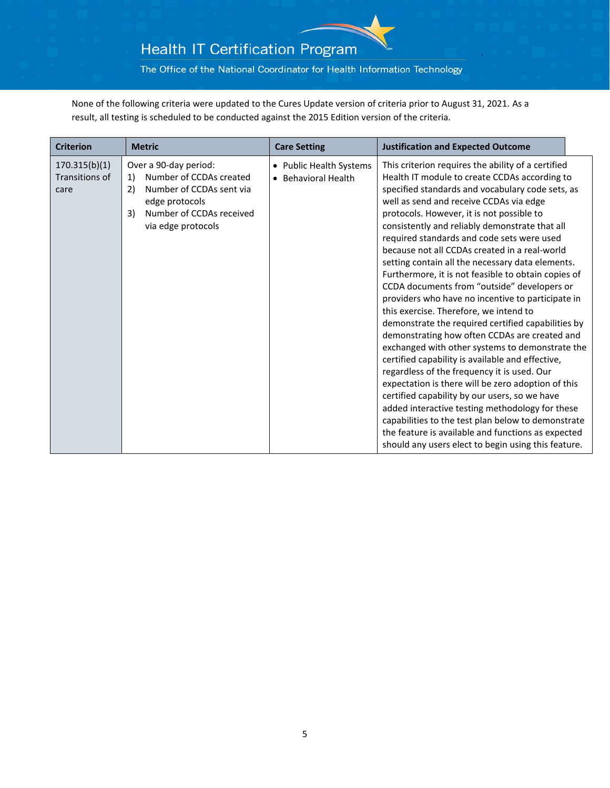The Office of the National Coordinator for Health Information Technology

None of the following criteria were updated to the Cures Update version of criteria prior to August 31, 2021. As a result, all testing is scheduled to be conducted against the 2015 Edition version of the criteria.

| <b>Criterion</b>                        | <b>Metric</b>                                                                                                                                                      | <b>Care Setting</b>                            | <b>Justification and Expected Outcome</b>                                                                                                                                                                                                                                                                                                                                                                                                                                                                                                                                                                                                                                                                                                                                                                                                                                                                                                                                                                                                                                                                                                                                                                                                           |  |
|-----------------------------------------|--------------------------------------------------------------------------------------------------------------------------------------------------------------------|------------------------------------------------|-----------------------------------------------------------------------------------------------------------------------------------------------------------------------------------------------------------------------------------------------------------------------------------------------------------------------------------------------------------------------------------------------------------------------------------------------------------------------------------------------------------------------------------------------------------------------------------------------------------------------------------------------------------------------------------------------------------------------------------------------------------------------------------------------------------------------------------------------------------------------------------------------------------------------------------------------------------------------------------------------------------------------------------------------------------------------------------------------------------------------------------------------------------------------------------------------------------------------------------------------------|--|
| 170.315(b)(1)<br>Transitions of<br>care | Over a 90-day period:<br>Number of CCDAs created<br>1)<br>Number of CCDAs sent via<br>2)<br>edge protocols<br>Number of CCDAs received<br>3)<br>via edge protocols | • Public Health Systems<br>• Behavioral Health | This criterion requires the ability of a certified<br>Health IT module to create CCDAs according to<br>specified standards and vocabulary code sets, as<br>well as send and receive CCDAs via edge<br>protocols. However, it is not possible to<br>consistently and reliably demonstrate that all<br>required standards and code sets were used<br>because not all CCDAs created in a real-world<br>setting contain all the necessary data elements.<br>Furthermore, it is not feasible to obtain copies of<br>CCDA documents from "outside" developers or<br>providers who have no incentive to participate in<br>this exercise. Therefore, we intend to<br>demonstrate the required certified capabilities by<br>demonstrating how often CCDAs are created and<br>exchanged with other systems to demonstrate the<br>certified capability is available and effective,<br>regardless of the frequency it is used. Our<br>expectation is there will be zero adoption of this<br>certified capability by our users, so we have<br>added interactive testing methodology for these<br>capabilities to the test plan below to demonstrate<br>the feature is available and functions as expected<br>should any users elect to begin using this feature. |  |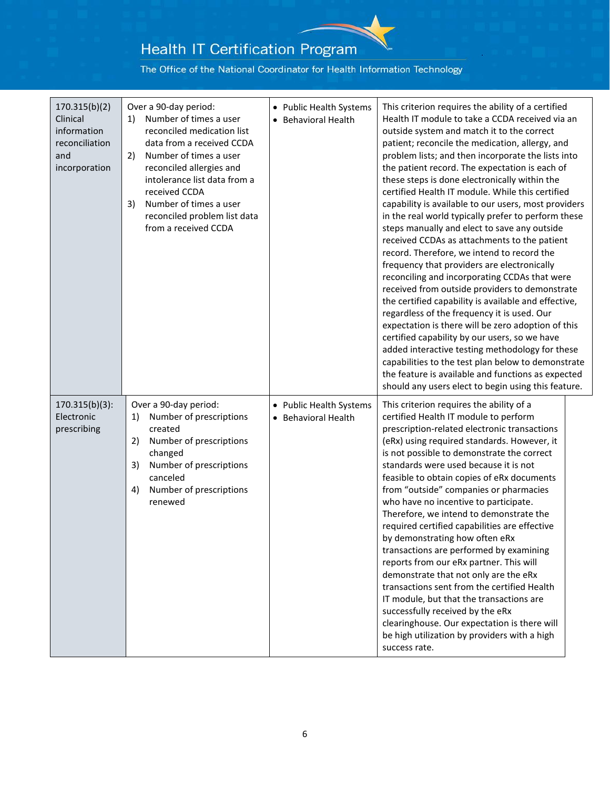| 170.315(b)(2)<br>Clinical<br>information<br>reconciliation<br>and<br>incorporation | Over a 90-day period:<br>Number of times a user<br>1)<br>reconciled medication list<br>data from a received CCDA<br>Number of times a user<br>2)<br>reconciled allergies and<br>intolerance list data from a<br>received CCDA<br>Number of times a user<br>3)<br>reconciled problem list data<br>from a received CCDA | • Public Health Systems<br>• Behavioral Health | This criterion requires the ability of a certified<br>Health IT module to take a CCDA received via an<br>outside system and match it to the correct<br>patient; reconcile the medication, allergy, and<br>problem lists; and then incorporate the lists into<br>the patient record. The expectation is each of<br>these steps is done electronically within the<br>certified Health IT module. While this certified<br>capability is available to our users, most providers<br>in the real world typically prefer to perform these<br>steps manually and elect to save any outside<br>received CCDAs as attachments to the patient<br>record. Therefore, we intend to record the<br>frequency that providers are electronically<br>reconciling and incorporating CCDAs that were<br>received from outside providers to demonstrate<br>the certified capability is available and effective,<br>regardless of the frequency it is used. Our<br>expectation is there will be zero adoption of this<br>certified capability by our users, so we have<br>added interactive testing methodology for these<br>capabilities to the test plan below to demonstrate<br>the feature is available and functions as expected<br>should any users elect to begin using this feature. |
|------------------------------------------------------------------------------------|-----------------------------------------------------------------------------------------------------------------------------------------------------------------------------------------------------------------------------------------------------------------------------------------------------------------------|------------------------------------------------|------------------------------------------------------------------------------------------------------------------------------------------------------------------------------------------------------------------------------------------------------------------------------------------------------------------------------------------------------------------------------------------------------------------------------------------------------------------------------------------------------------------------------------------------------------------------------------------------------------------------------------------------------------------------------------------------------------------------------------------------------------------------------------------------------------------------------------------------------------------------------------------------------------------------------------------------------------------------------------------------------------------------------------------------------------------------------------------------------------------------------------------------------------------------------------------------------------------------------------------------------------------------|
| $170.315(b)(3)$ :<br>Electronic<br>prescribing                                     | Over a 90-day period:<br>Number of prescriptions<br>1)<br>created<br>Number of prescriptions<br>2)<br>changed<br>Number of prescriptions<br>3)<br>canceled<br>Number of prescriptions<br>4)<br>renewed                                                                                                                | • Public Health Systems<br>• Behavioral Health | This criterion requires the ability of a<br>certified Health IT module to perform<br>prescription-related electronic transactions<br>(eRx) using required standards. However, it<br>is not possible to demonstrate the correct<br>standards were used because it is not<br>feasible to obtain copies of eRx documents<br>from "outside" companies or pharmacies<br>who have no incentive to participate.<br>Therefore, we intend to demonstrate the<br>required certified capabilities are effective<br>by demonstrating how often eRx<br>transactions are performed by examining<br>reports from our eRx partner. This will<br>demonstrate that not only are the eRx<br>transactions sent from the certified Health<br>IT module, but that the transactions are<br>successfully received by the eRx<br>clearinghouse. Our expectation is there will<br>be high utilization by providers with a high<br>success rate.                                                                                                                                                                                                                                                                                                                                                  |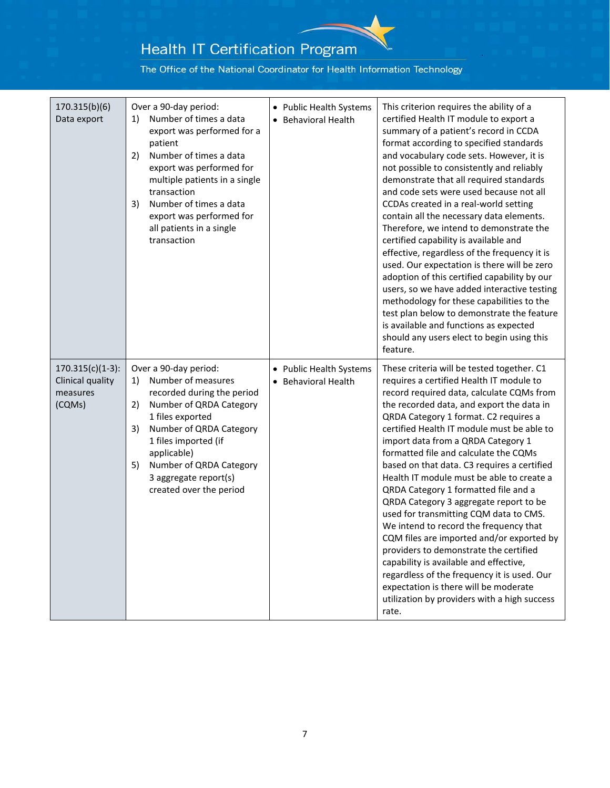| 170.315(b)(6)<br>Data export                                  | Over a 90-day period:<br>Number of times a data<br>1)<br>export was performed for a<br>patient<br>Number of times a data<br>2)<br>export was performed for<br>multiple patients in a single<br>transaction<br>Number of times a data<br>3)<br>export was performed for<br>all patients in a single<br>transaction | • Public Health Systems<br>• Behavioral Health | This criterion requires the ability of a<br>certified Health IT module to export a<br>summary of a patient's record in CCDA<br>format according to specified standards<br>and vocabulary code sets. However, it is<br>not possible to consistently and reliably<br>demonstrate that all required standards<br>and code sets were used because not all<br>CCDAs created in a real-world setting<br>contain all the necessary data elements.<br>Therefore, we intend to demonstrate the<br>certified capability is available and<br>effective, regardless of the frequency it is<br>used. Our expectation is there will be zero<br>adoption of this certified capability by our<br>users, so we have added interactive testing<br>methodology for these capabilities to the<br>test plan below to demonstrate the feature<br>is available and functions as expected<br>should any users elect to begin using this<br>feature. |
|---------------------------------------------------------------|-------------------------------------------------------------------------------------------------------------------------------------------------------------------------------------------------------------------------------------------------------------------------------------------------------------------|------------------------------------------------|-----------------------------------------------------------------------------------------------------------------------------------------------------------------------------------------------------------------------------------------------------------------------------------------------------------------------------------------------------------------------------------------------------------------------------------------------------------------------------------------------------------------------------------------------------------------------------------------------------------------------------------------------------------------------------------------------------------------------------------------------------------------------------------------------------------------------------------------------------------------------------------------------------------------------------|
| $170.315(c)(1-3)$ :<br>Clinical quality<br>measures<br>(CQMs) | Over a 90-day period:<br>Number of measures<br>1)<br>recorded during the period<br>2)<br>Number of QRDA Category<br>1 files exported<br>Number of QRDA Category<br>3)<br>1 files imported (if<br>applicable)<br>Number of QRDA Category<br>5)<br>3 aggregate report(s)<br>created over the period                 | • Public Health Systems<br>• Behavioral Health | These criteria will be tested together. C1<br>requires a certified Health IT module to<br>record required data, calculate CQMs from<br>the recorded data, and export the data in<br>QRDA Category 1 format. C2 requires a<br>certified Health IT module must be able to<br>import data from a QRDA Category 1<br>formatted file and calculate the CQMs<br>based on that data. C3 requires a certified<br>Health IT module must be able to create a<br>QRDA Category 1 formatted file and a<br>QRDA Category 3 aggregate report to be<br>used for transmitting CQM data to CMS.<br>We intend to record the frequency that<br>CQM files are imported and/or exported by<br>providers to demonstrate the certified<br>capability is available and effective,<br>regardless of the frequency it is used. Our<br>expectation is there will be moderate<br>utilization by providers with a high success<br>rate.                  |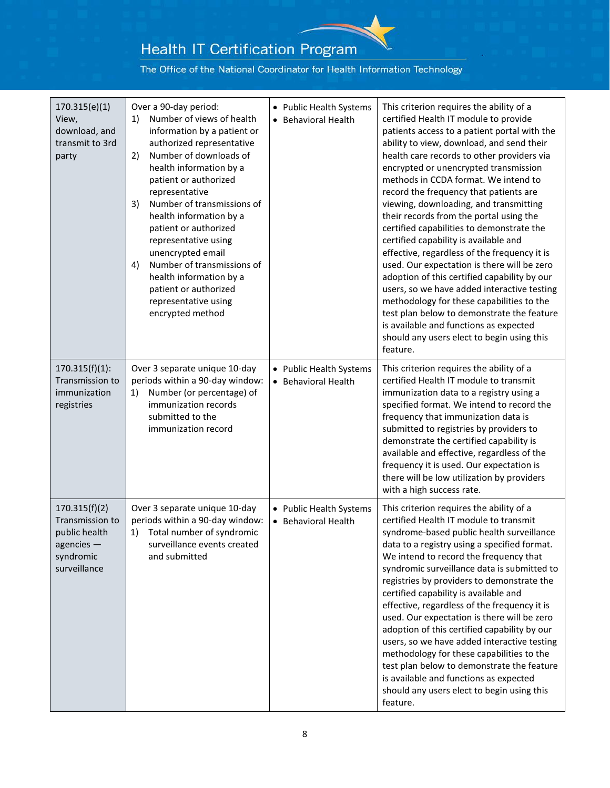| 170.315(e)(1)<br>View,<br>download, and<br>transmit to 3rd<br>party                          | Over a 90-day period:<br>Number of views of health<br>1)<br>information by a patient or<br>authorized representative<br>Number of downloads of<br>2)<br>health information by a<br>patient or authorized<br>representative<br>Number of transmissions of<br>3)<br>health information by a<br>patient or authorized<br>representative using<br>unencrypted email<br>Number of transmissions of<br>4)<br>health information by a<br>patient or authorized<br>representative using<br>encrypted method | • Public Health Systems<br>• Behavioral Health | This criterion requires the ability of a<br>certified Health IT module to provide<br>patients access to a patient portal with the<br>ability to view, download, and send their<br>health care records to other providers via<br>encrypted or unencrypted transmission<br>methods in CCDA format. We intend to<br>record the frequency that patients are<br>viewing, downloading, and transmitting<br>their records from the portal using the<br>certified capabilities to demonstrate the<br>certified capability is available and<br>effective, regardless of the frequency it is<br>used. Our expectation is there will be zero<br>adoption of this certified capability by our<br>users, so we have added interactive testing<br>methodology for these capabilities to the<br>test plan below to demonstrate the feature<br>is available and functions as expected<br>should any users elect to begin using this<br>feature. |
|----------------------------------------------------------------------------------------------|-----------------------------------------------------------------------------------------------------------------------------------------------------------------------------------------------------------------------------------------------------------------------------------------------------------------------------------------------------------------------------------------------------------------------------------------------------------------------------------------------------|------------------------------------------------|---------------------------------------------------------------------------------------------------------------------------------------------------------------------------------------------------------------------------------------------------------------------------------------------------------------------------------------------------------------------------------------------------------------------------------------------------------------------------------------------------------------------------------------------------------------------------------------------------------------------------------------------------------------------------------------------------------------------------------------------------------------------------------------------------------------------------------------------------------------------------------------------------------------------------------|
| $170.315(f)(1)$ :<br>Transmission to<br>immunization<br>registries                           | Over 3 separate unique 10-day<br>periods within a 90-day window:<br>Number (or percentage) of<br>1)<br>immunization records<br>submitted to the<br>immunization record                                                                                                                                                                                                                                                                                                                              | • Public Health Systems<br>• Behavioral Health | This criterion requires the ability of a<br>certified Health IT module to transmit<br>immunization data to a registry using a<br>specified format. We intend to record the<br>frequency that immunization data is<br>submitted to registries by providers to<br>demonstrate the certified capability is<br>available and effective, regardless of the<br>frequency it is used. Our expectation is<br>there will be low utilization by providers<br>with a high success rate.                                                                                                                                                                                                                                                                                                                                                                                                                                                    |
| 170.315(f)(2)<br>Transmission to<br>public health<br>agencies -<br>syndromic<br>surveillance | Over 3 separate unique 10-day<br>periods within a 90-day window:<br>Total number of syndromic<br>1)<br>surveillance events created<br>and submitted                                                                                                                                                                                                                                                                                                                                                 | • Public Health Systems<br>• Behavioral Health | This criterion requires the ability of a<br>certified Health IT module to transmit<br>syndrome-based public health surveillance<br>data to a registry using a specified format.<br>We intend to record the frequency that<br>syndromic surveillance data is submitted to<br>registries by providers to demonstrate the<br>certified capability is available and<br>effective, regardless of the frequency it is<br>used. Our expectation is there will be zero<br>adoption of this certified capability by our<br>users, so we have added interactive testing<br>methodology for these capabilities to the<br>test plan below to demonstrate the feature<br>is available and functions as expected<br>should any users elect to begin using this<br>feature.                                                                                                                                                                    |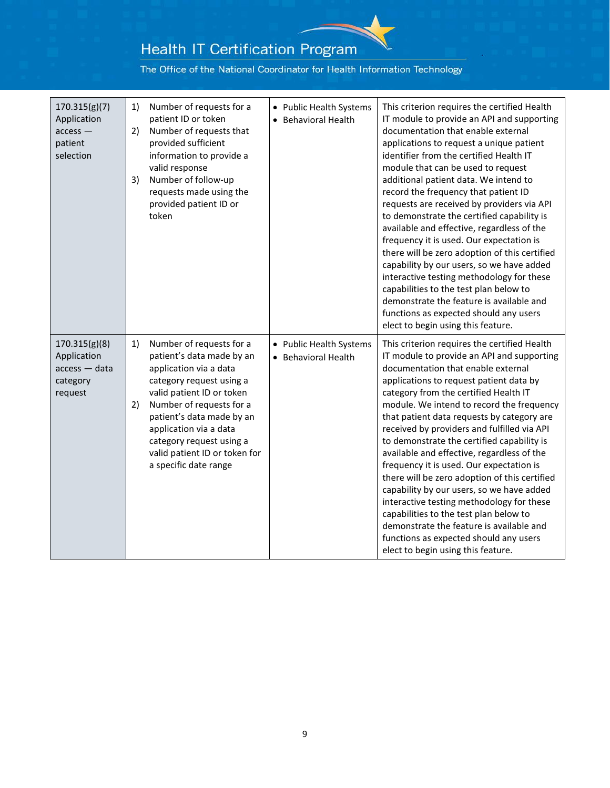| 170.315(g)(7)<br>Application<br>$access -$<br>patient<br>selection     | Number of requests for a<br>1)<br>patient ID or token<br>Number of requests that<br>2)<br>provided sufficient<br>information to provide a<br>valid response<br>Number of follow-up<br>3)<br>requests made using the<br>provided patient ID or<br>token                                                                        | • Public Health Systems<br>• Behavioral Health | This criterion requires the certified Health<br>IT module to provide an API and supporting<br>documentation that enable external<br>applications to request a unique patient<br>identifier from the certified Health IT<br>module that can be used to request<br>additional patient data. We intend to<br>record the frequency that patient ID<br>requests are received by providers via API<br>to demonstrate the certified capability is<br>available and effective, regardless of the<br>frequency it is used. Our expectation is<br>there will be zero adoption of this certified<br>capability by our users, so we have added<br>interactive testing methodology for these<br>capabilities to the test plan below to<br>demonstrate the feature is available and<br>functions as expected should any users<br>elect to begin using this feature. |
|------------------------------------------------------------------------|-------------------------------------------------------------------------------------------------------------------------------------------------------------------------------------------------------------------------------------------------------------------------------------------------------------------------------|------------------------------------------------|-------------------------------------------------------------------------------------------------------------------------------------------------------------------------------------------------------------------------------------------------------------------------------------------------------------------------------------------------------------------------------------------------------------------------------------------------------------------------------------------------------------------------------------------------------------------------------------------------------------------------------------------------------------------------------------------------------------------------------------------------------------------------------------------------------------------------------------------------------|
| 170.315(g)(8)<br>Application<br>$access - data$<br>category<br>request | Number of requests for a<br>1)<br>patient's data made by an<br>application via a data<br>category request using a<br>valid patient ID or token<br>2)<br>Number of requests for a<br>patient's data made by an<br>application via a data<br>category request using a<br>valid patient ID or token for<br>a specific date range | • Public Health Systems<br>• Behavioral Health | This criterion requires the certified Health<br>IT module to provide an API and supporting<br>documentation that enable external<br>applications to request patient data by<br>category from the certified Health IT<br>module. We intend to record the frequency<br>that patient data requests by category are<br>received by providers and fulfilled via API<br>to demonstrate the certified capability is<br>available and effective, regardless of the<br>frequency it is used. Our expectation is<br>there will be zero adoption of this certified<br>capability by our users, so we have added<br>interactive testing methodology for these<br>capabilities to the test plan below to<br>demonstrate the feature is available and<br>functions as expected should any users<br>elect to begin using this feature.                               |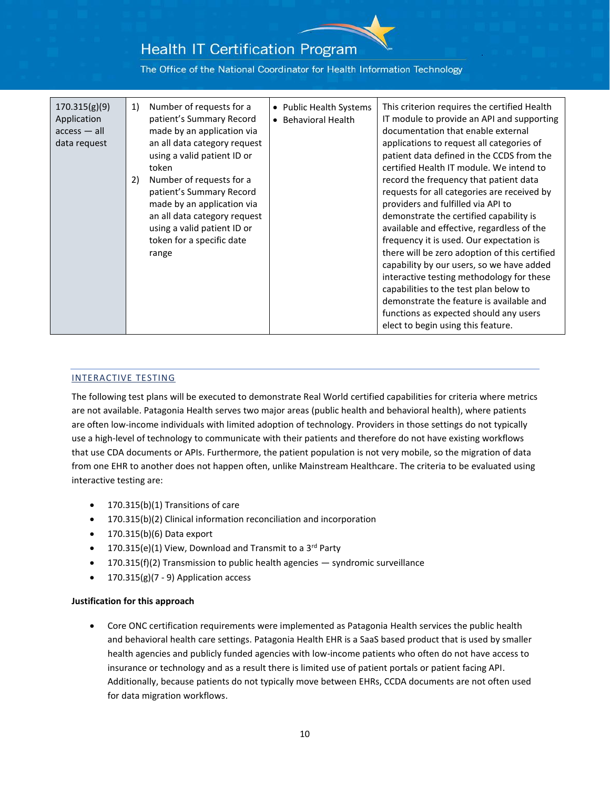The Office of the National Coordinator for Health Information Technology

| 170.315(g)(9)<br>Application<br>$access - all$<br>data request | Number of requests for a<br>1)<br>patient's Summary Record<br>made by an application via<br>an all data category request<br>using a valid patient ID or<br>token<br>Number of requests for a<br>2)<br>patient's Summary Record<br>made by an application via<br>an all data category request<br>using a valid patient ID or<br>token for a specific date<br>range | • Public Health Systems<br>• Behavioral Health | This criterion requires the certified Health<br>IT module to provide an API and supporting<br>documentation that enable external<br>applications to request all categories of<br>patient data defined in the CCDS from the<br>certified Health IT module. We intend to<br>record the frequency that patient data<br>requests for all categories are received by<br>providers and fulfilled via API to<br>demonstrate the certified capability is<br>available and effective, regardless of the<br>frequency it is used. Our expectation is<br>there will be zero adoption of this certified<br>capability by our users, so we have added<br>interactive testing methodology for these<br>capabilities to the test plan below to<br>demonstrate the feature is available and<br>functions as expected should any users<br>elect to begin using this feature. |
|----------------------------------------------------------------|-------------------------------------------------------------------------------------------------------------------------------------------------------------------------------------------------------------------------------------------------------------------------------------------------------------------------------------------------------------------|------------------------------------------------|-------------------------------------------------------------------------------------------------------------------------------------------------------------------------------------------------------------------------------------------------------------------------------------------------------------------------------------------------------------------------------------------------------------------------------------------------------------------------------------------------------------------------------------------------------------------------------------------------------------------------------------------------------------------------------------------------------------------------------------------------------------------------------------------------------------------------------------------------------------|
|----------------------------------------------------------------|-------------------------------------------------------------------------------------------------------------------------------------------------------------------------------------------------------------------------------------------------------------------------------------------------------------------------------------------------------------------|------------------------------------------------|-------------------------------------------------------------------------------------------------------------------------------------------------------------------------------------------------------------------------------------------------------------------------------------------------------------------------------------------------------------------------------------------------------------------------------------------------------------------------------------------------------------------------------------------------------------------------------------------------------------------------------------------------------------------------------------------------------------------------------------------------------------------------------------------------------------------------------------------------------------|

### INTERACTIVE TESTING

The following test plans will be executed to demonstrate Real World certified capabilities for criteria where metrics are not available. Patagonia Health serves two major areas (public health and behavioral health), where patients are often low-income individuals with limited adoption of technology. Providers in those settings do not typically use a high-level of technology to communicate with their patients and therefore do not have existing workflows that use CDA documents or APIs. Furthermore, the patient population is not very mobile, so the migration of data from one EHR to another does not happen often, unlike Mainstream Healthcare. The criteria to be evaluated using interactive testing are:

- 170.315(b)(1) Transitions of care
- 170.315(b)(2) Clinical information reconciliation and incorporation
- 170.315(b)(6) Data export
- 170.315(e)(1) View, Download and Transmit to a  $3^{rd}$  Party
- 170.315(f)(2) Transmission to public health agencies syndromic surveillance
- $170.315(g)(7 9)$  Application access

### **Justification for this approach**

• Core ONC certification requirements were implemented as Patagonia Health services the public health and behavioral health care settings. Patagonia Health EHR is a SaaS based product that is used by smaller health agencies and publicly funded agencies with low-income patients who often do not have access to insurance or technology and as a result there is limited use of patient portals or patient facing API. Additionally, because patients do not typically move between EHRs, CCDA documents are not often used for data migration workflows.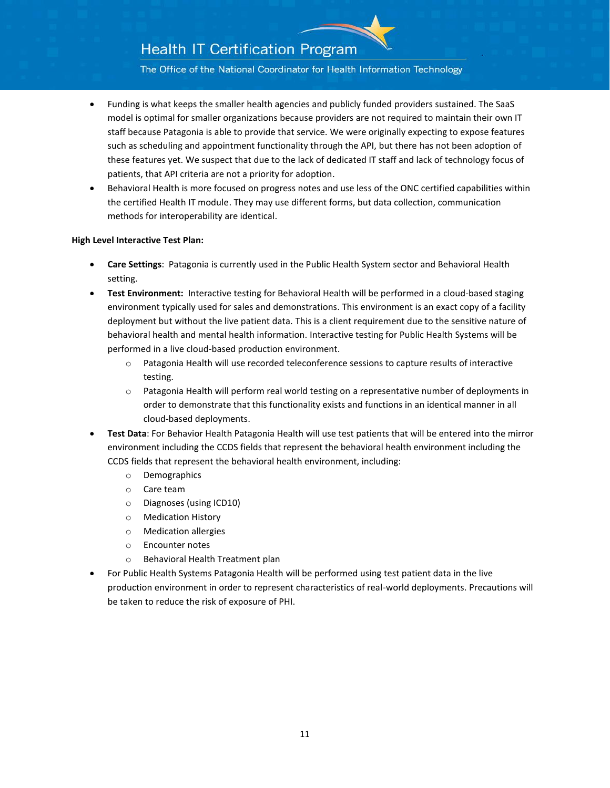The Office of the National Coordinator for Health Information Technology

- Funding is what keeps the smaller health agencies and publicly funded providers sustained. The SaaS model is optimal for smaller organizations because providers are not required to maintain their own IT staff because Patagonia is able to provide that service. We were originally expecting to expose features such as scheduling and appointment functionality through the API, but there has not been adoption of these features yet. We suspect that due to the lack of dedicated IT staff and lack of technology focus of patients, that API criteria are not a priority for adoption.
- Behavioral Health is more focused on progress notes and use less of the ONC certified capabilities within the certified Health IT module. They may use different forms, but data collection, communication methods for interoperability are identical.

#### **High Level Interactive Test Plan:**

- **Care Settings**: Patagonia is currently used in the Public Health System sector and Behavioral Health setting.
- **Test Environment:** Interactive testing for Behavioral Health will be performed in a cloud-based staging environment typically used for sales and demonstrations. This environment is an exact copy of a facility deployment but without the live patient data. This is a client requirement due to the sensitive nature of behavioral health and mental health information. Interactive testing for Public Health Systems will be performed in a live cloud-based production environment.
	- o Patagonia Health will use recorded teleconference sessions to capture results of interactive testing.
	- $\circ$  Patagonia Health will perform real world testing on a representative number of deployments in order to demonstrate that this functionality exists and functions in an identical manner in all cloud-based deployments.
- **Test Data**: For Behavior Health Patagonia Health will use test patients that will be entered into the mirror environment including the CCDS fields that represent the behavioral health environment including the CCDS fields that represent the behavioral health environment, including:
	- o Demographics
	- o Care team
	- o Diagnoses (using ICD10)
	- o Medication History
	- o Medication allergies
	- o Encounter notes
	- o Behavioral Health Treatment plan
- For Public Health Systems Patagonia Health will be performed using test patient data in the live production environment in order to represent characteristics of real-world deployments. Precautions will be taken to reduce the risk of exposure of PHI.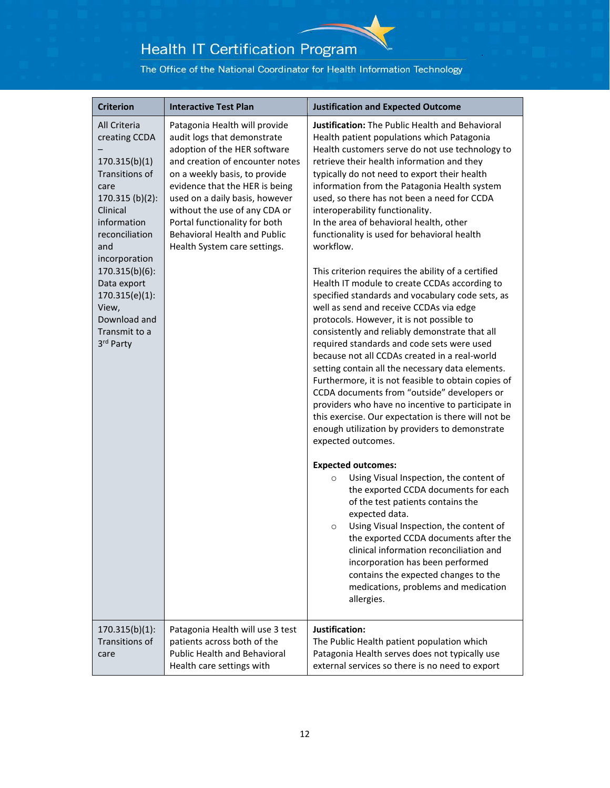| <b>Criterion</b>                                                                                                                                                                                                                                                                    | <b>Interactive Test Plan</b>                                                                                                                                                                                                                                                                                                                                                  | <b>Justification and Expected Outcome</b>                                                                                                                                                                                                                                                                                                                                                                                                                                                                                                                                                                                                                                                                                                                                                                                                                                                                                                                                                                                                                                                                                                                                                                                                                                                                                                                                                                                                                                                                                                                                                                                                                                                               |
|-------------------------------------------------------------------------------------------------------------------------------------------------------------------------------------------------------------------------------------------------------------------------------------|-------------------------------------------------------------------------------------------------------------------------------------------------------------------------------------------------------------------------------------------------------------------------------------------------------------------------------------------------------------------------------|---------------------------------------------------------------------------------------------------------------------------------------------------------------------------------------------------------------------------------------------------------------------------------------------------------------------------------------------------------------------------------------------------------------------------------------------------------------------------------------------------------------------------------------------------------------------------------------------------------------------------------------------------------------------------------------------------------------------------------------------------------------------------------------------------------------------------------------------------------------------------------------------------------------------------------------------------------------------------------------------------------------------------------------------------------------------------------------------------------------------------------------------------------------------------------------------------------------------------------------------------------------------------------------------------------------------------------------------------------------------------------------------------------------------------------------------------------------------------------------------------------------------------------------------------------------------------------------------------------------------------------------------------------------------------------------------------------|
| All Criteria<br>creating CCDA<br>170.315(b)(1)<br>Transitions of<br>care<br>$170.315 (b)(2)$ :<br>Clinical<br>information<br>reconciliation<br>and<br>incorporation<br>$170.315(b)(6)$ :<br>Data export<br>$170.315(e)(1)$ :<br>View,<br>Download and<br>Transmit to a<br>3rd Party | Patagonia Health will provide<br>audit logs that demonstrate<br>adoption of the HER software<br>and creation of encounter notes<br>on a weekly basis, to provide<br>evidence that the HER is being<br>used on a daily basis, however<br>without the use of any CDA or<br>Portal functionality for both<br><b>Behavioral Health and Public</b><br>Health System care settings. | Justification: The Public Health and Behavioral<br>Health patient populations which Patagonia<br>Health customers serve do not use technology to<br>retrieve their health information and they<br>typically do not need to export their health<br>information from the Patagonia Health system<br>used, so there has not been a need for CCDA<br>interoperability functionality.<br>In the area of behavioral health, other<br>functionality is used for behavioral health<br>workflow.<br>This criterion requires the ability of a certified<br>Health IT module to create CCDAs according to<br>specified standards and vocabulary code sets, as<br>well as send and receive CCDAs via edge<br>protocols. However, it is not possible to<br>consistently and reliably demonstrate that all<br>required standards and code sets were used<br>because not all CCDAs created in a real-world<br>setting contain all the necessary data elements.<br>Furthermore, it is not feasible to obtain copies of<br>CCDA documents from "outside" developers or<br>providers who have no incentive to participate in<br>this exercise. Our expectation is there will not be<br>enough utilization by providers to demonstrate<br>expected outcomes.<br><b>Expected outcomes:</b><br>Using Visual Inspection, the content of<br>$\circ$<br>the exported CCDA documents for each<br>of the test patients contains the<br>expected data.<br>Using Visual Inspection, the content of<br>$\circ$<br>the exported CCDA documents after the<br>clinical information reconciliation and<br>incorporation has been performed<br>contains the expected changes to the<br>medications, problems and medication<br>allergies. |
| $170.315(b)(1)$ :<br>Transitions of                                                                                                                                                                                                                                                 | Patagonia Health will use 3 test<br>patients across both of the                                                                                                                                                                                                                                                                                                               | Justification:<br>The Public Health patient population which                                                                                                                                                                                                                                                                                                                                                                                                                                                                                                                                                                                                                                                                                                                                                                                                                                                                                                                                                                                                                                                                                                                                                                                                                                                                                                                                                                                                                                                                                                                                                                                                                                            |
| care                                                                                                                                                                                                                                                                                | <b>Public Health and Behavioral</b><br>Health care settings with                                                                                                                                                                                                                                                                                                              | Patagonia Health serves does not typically use<br>external services so there is no need to export                                                                                                                                                                                                                                                                                                                                                                                                                                                                                                                                                                                                                                                                                                                                                                                                                                                                                                                                                                                                                                                                                                                                                                                                                                                                                                                                                                                                                                                                                                                                                                                                       |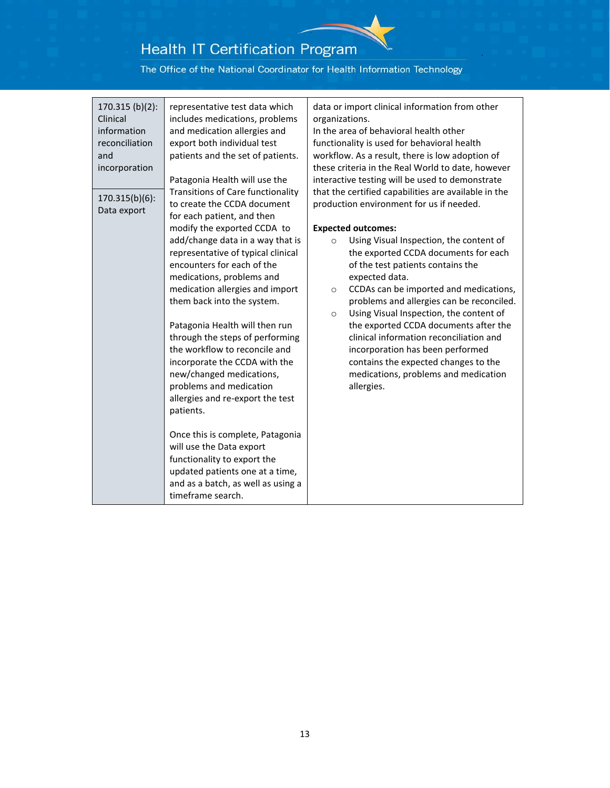| 170.315 (b)(2):<br>Clinical<br>information<br>reconciliation<br>and<br>incorporation<br>$170.315(b)(6)$ :<br>Data export | representative test data which<br>includes medications, problems<br>and medication allergies and<br>export both individual test<br>patients and the set of patients.<br>Patagonia Health will use the<br><b>Transitions of Care functionality</b><br>to create the CCDA document<br>for each patient, and then<br>modify the exported CCDA to<br>add/change data in a way that is<br>representative of typical clinical<br>encounters for each of the<br>medications, problems and<br>medication allergies and import<br>them back into the system.<br>Patagonia Health will then run<br>through the steps of performing<br>the workflow to reconcile and<br>incorporate the CCDA with the<br>new/changed medications,<br>problems and medication<br>allergies and re-export the test<br>patients. | data or import clinical information from other<br>organizations.<br>In the area of behavioral health other<br>functionality is used for behavioral health<br>workflow. As a result, there is low adoption of<br>these criteria in the Real World to date, however<br>interactive testing will be used to demonstrate<br>that the certified capabilities are available in the<br>production environment for us if needed.<br><b>Expected outcomes:</b><br>Using Visual Inspection, the content of<br>$\circ$<br>the exported CCDA documents for each<br>of the test patients contains the<br>expected data.<br>CCDAs can be imported and medications,<br>$\circ$<br>problems and allergies can be reconciled.<br>Using Visual Inspection, the content of<br>$\circ$<br>the exported CCDA documents after the<br>clinical information reconciliation and<br>incorporation has been performed<br>contains the expected changes to the<br>medications, problems and medication<br>allergies. |
|--------------------------------------------------------------------------------------------------------------------------|----------------------------------------------------------------------------------------------------------------------------------------------------------------------------------------------------------------------------------------------------------------------------------------------------------------------------------------------------------------------------------------------------------------------------------------------------------------------------------------------------------------------------------------------------------------------------------------------------------------------------------------------------------------------------------------------------------------------------------------------------------------------------------------------------|------------------------------------------------------------------------------------------------------------------------------------------------------------------------------------------------------------------------------------------------------------------------------------------------------------------------------------------------------------------------------------------------------------------------------------------------------------------------------------------------------------------------------------------------------------------------------------------------------------------------------------------------------------------------------------------------------------------------------------------------------------------------------------------------------------------------------------------------------------------------------------------------------------------------------------------------------------------------------------------|
|                                                                                                                          | Once this is complete, Patagonia<br>will use the Data export<br>functionality to export the<br>updated patients one at a time,<br>and as a batch, as well as using a<br>timeframe search.                                                                                                                                                                                                                                                                                                                                                                                                                                                                                                                                                                                                          |                                                                                                                                                                                                                                                                                                                                                                                                                                                                                                                                                                                                                                                                                                                                                                                                                                                                                                                                                                                          |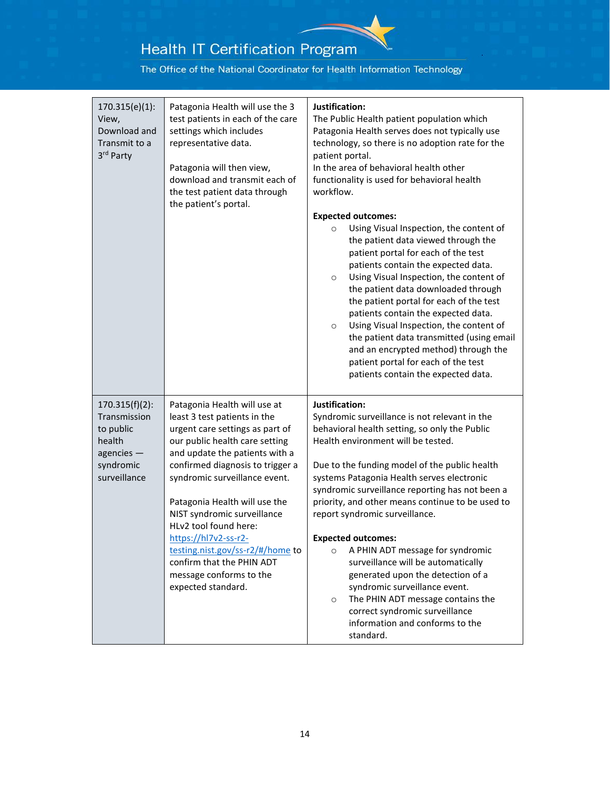| $170.315(e)(1)$ :<br>View,<br>Download and<br>Transmit to a<br>3rd Party                            | Patagonia Health will use the 3<br>test patients in each of the care<br>settings which includes<br>representative data.<br>Patagonia will then view,<br>download and transmit each of<br>the test patient data through<br>the patient's portal.                                                                                                                                                                                                                             | Justification:<br>The Public Health patient population which<br>Patagonia Health serves does not typically use<br>technology, so there is no adoption rate for the<br>patient portal.<br>In the area of behavioral health other<br>functionality is used for behavioral health<br>workflow.<br><b>Expected outcomes:</b><br>Using Visual Inspection, the content of<br>$\circ$<br>the patient data viewed through the<br>patient portal for each of the test<br>patients contain the expected data.<br>Using Visual Inspection, the content of<br>$\circ$<br>the patient data downloaded through<br>the patient portal for each of the test<br>patients contain the expected data.<br>Using Visual Inspection, the content of<br>$\circ$<br>the patient data transmitted (using email<br>and an encrypted method) through the<br>patient portal for each of the test<br>patients contain the expected data. |
|-----------------------------------------------------------------------------------------------------|-----------------------------------------------------------------------------------------------------------------------------------------------------------------------------------------------------------------------------------------------------------------------------------------------------------------------------------------------------------------------------------------------------------------------------------------------------------------------------|-------------------------------------------------------------------------------------------------------------------------------------------------------------------------------------------------------------------------------------------------------------------------------------------------------------------------------------------------------------------------------------------------------------------------------------------------------------------------------------------------------------------------------------------------------------------------------------------------------------------------------------------------------------------------------------------------------------------------------------------------------------------------------------------------------------------------------------------------------------------------------------------------------------|
| $170.315(f)(2)$ :<br>Transmission<br>to public<br>health<br>agencies -<br>syndromic<br>surveillance | Patagonia Health will use at<br>least 3 test patients in the<br>urgent care settings as part of<br>our public health care setting<br>and update the patients with a<br>confirmed diagnosis to trigger a<br>syndromic surveillance event.<br>Patagonia Health will use the<br>NIST syndromic surveillance<br>HLv2 tool found here:<br>https://hl7v2-ss-r2-<br>testing.nist.gov/ss-r2/#/home to<br>confirm that the PHIN ADT<br>message conforms to the<br>expected standard. | Justification:<br>Syndromic surveillance is not relevant in the<br>behavioral health setting, so only the Public<br>Health environment will be tested.<br>Due to the funding model of the public health<br>systems Patagonia Health serves electronic<br>syndromic surveillance reporting has not been a<br>priority, and other means continue to be used to<br>report syndromic surveillance.<br><b>Expected outcomes:</b><br>A PHIN ADT message for syndromic<br>$\circ$<br>surveillance will be automatically<br>generated upon the detection of a<br>syndromic surveillance event.<br>The PHIN ADT message contains the<br>$\circ$<br>correct syndromic surveillance<br>information and conforms to the<br>standard.                                                                                                                                                                                    |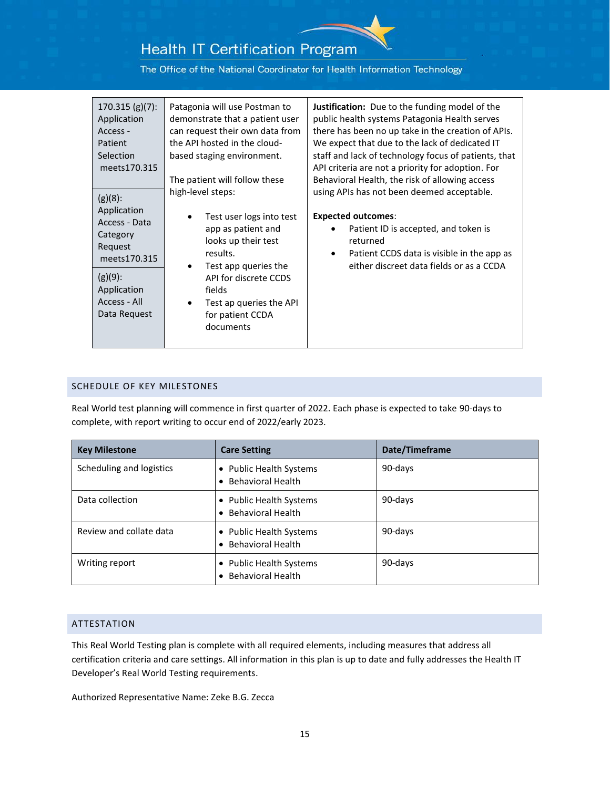The Office of the National Coordinator for Health Information Technology

| $170.315 (g)(7)$ :<br>Application<br>Access -<br><b>Patient</b><br>Selection<br>meets170.315                                                   | Patagonia will use Postman to<br>demonstrate that a patient user<br>can request their own data from<br>the API hosted in the cloud-<br>based staging environment.<br>The patient will follow these                                                                   | <b>Justification:</b> Due to the funding model of the<br>public health systems Patagonia Health serves<br>there has been no up take in the creation of APIs.<br>We expect that due to the lack of dedicated IT<br>staff and lack of technology focus of patients, that<br>API criteria are not a priority for adoption. For<br>Behavioral Health, the risk of allowing access |
|------------------------------------------------------------------------------------------------------------------------------------------------|----------------------------------------------------------------------------------------------------------------------------------------------------------------------------------------------------------------------------------------------------------------------|-------------------------------------------------------------------------------------------------------------------------------------------------------------------------------------------------------------------------------------------------------------------------------------------------------------------------------------------------------------------------------|
| $(g)(8)$ :<br>Application<br>Access - Data<br>Category<br>Request<br>meets170.315<br>$(g)(9)$ :<br>Application<br>Access - All<br>Data Request | high-level steps:<br>Test user logs into test<br>$\bullet$<br>app as patient and<br>looks up their test<br>results.<br>Test app queries the<br>$\bullet$<br>API for discrete CCDS<br>fields<br>Test ap queries the API<br>$\bullet$<br>for patient CCDA<br>documents | using APIs has not been deemed acceptable.<br><b>Expected outcomes:</b><br>Patient ID is accepted, and token is<br>$\bullet$<br>returned<br>Patient CCDS data is visible in the app as<br>$\bullet$<br>either discreet data fields or as a CCDA                                                                                                                               |

#### SCHEDULE OF KEY MILESTONES

Real World test planning will commence in first quarter of 2022. Each phase is expected to take 90-days to complete, with report writing to occur end of 2022/early 2023.

| <b>Key Milestone</b>     | <b>Care Setting</b>                                                   | Date/Timeframe |
|--------------------------|-----------------------------------------------------------------------|----------------|
| Scheduling and logistics | <b>Public Health Systems</b><br>$\bullet$<br><b>Behavioral Health</b> | 90-days        |
| Data collection          | <b>Public Health Systems</b><br><b>Behavioral Health</b>              | 90-days        |
| Review and collate data  | <b>Public Health Systems</b><br>$\bullet$<br><b>Behavioral Health</b> | 90-days        |
| Writing report           | Public Health Systems<br><b>Behavioral Health</b>                     | 90-days        |

### ATTESTATION

This Real World Testing plan is complete with all required elements, including measures that address all certification criteria and care settings. All information in this plan is up to date and fully addresses the Health IT Developer's Real World Testing requirements.

Authorized Representative Name: Zeke B.G. Zecca